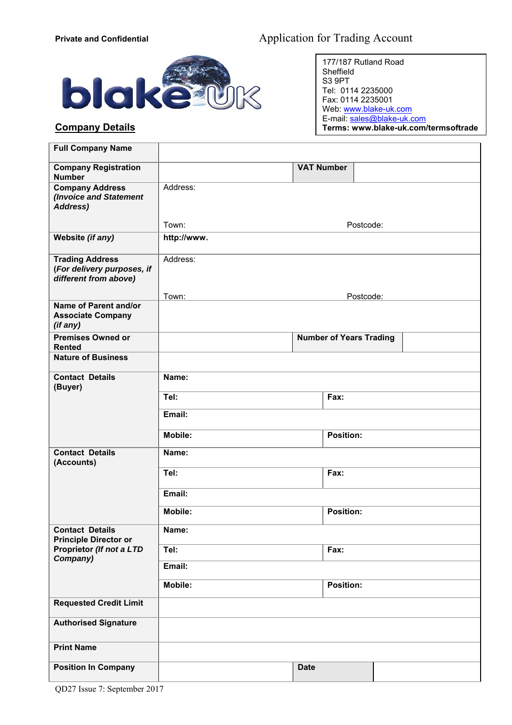

## **Company Details**

177/187 Rutland Road Sheffield S3 9PT Tel: 0114 2235000 Fax: 0114 2235001 Web: www.blake-uk.com E-mail: sales@blake-uk.com **Terms: www.blake-uk.com/termsoftrade**

| <b>Full Company Name</b>                                                      |                             |                                |  |  |
|-------------------------------------------------------------------------------|-----------------------------|--------------------------------|--|--|
| <b>Company Registration</b><br><b>Number</b>                                  |                             | <b>VAT Number</b>              |  |  |
| <b>Company Address</b><br>(Invoice and Statement<br><b>Address)</b>           | Address:                    |                                |  |  |
|                                                                               | Town:                       | Postcode:                      |  |  |
| Website (if any)                                                              | http://www.                 |                                |  |  |
| <b>Trading Address</b><br>(For delivery purposes, if<br>different from above) | Address:                    |                                |  |  |
| Name of Parent and/or                                                         | Town:                       | Postcode:                      |  |  |
| <b>Associate Company</b><br>(if any)                                          |                             |                                |  |  |
| <b>Premises Owned or</b><br><b>Rented</b>                                     |                             | <b>Number of Years Trading</b> |  |  |
| <b>Nature of Business</b>                                                     |                             |                                |  |  |
| <b>Contact Details</b><br>(Buyer)                                             | Name:                       |                                |  |  |
|                                                                               | Tel:                        | Fax:                           |  |  |
|                                                                               | Email:                      |                                |  |  |
|                                                                               | <b>Mobile:</b>              | <b>Position:</b>               |  |  |
| <b>Contact Details</b><br>(Accounts)                                          | Name:                       |                                |  |  |
|                                                                               | Tel:<br>Fax:                |                                |  |  |
|                                                                               | Email:                      |                                |  |  |
|                                                                               | <b>Position:</b><br>Mobile: |                                |  |  |
| <b>Contact Details</b><br><b>Principle Director or</b>                        | Name:                       |                                |  |  |
| Proprietor (If not a LTD<br>Company)                                          | Tel:<br>Fax:                |                                |  |  |
|                                                                               | Email:                      |                                |  |  |
|                                                                               | Mobile:                     | <b>Position:</b>               |  |  |
| <b>Requested Credit Limit</b>                                                 |                             |                                |  |  |
| <b>Authorised Signature</b>                                                   |                             |                                |  |  |
| <b>Print Name</b>                                                             |                             |                                |  |  |
| <b>Position In Company</b>                                                    |                             | <b>Date</b>                    |  |  |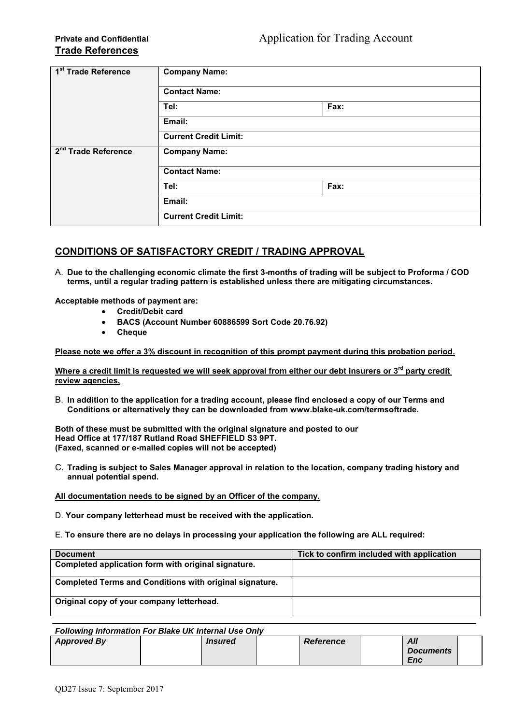| 1 <sup>st</sup> Trade Reference | <b>Company Name:</b>         |      |  |
|---------------------------------|------------------------------|------|--|
|                                 | <b>Contact Name:</b>         |      |  |
|                                 | Tel:                         | Fax: |  |
|                                 | Email:                       |      |  |
|                                 | <b>Current Credit Limit:</b> |      |  |
| 2 <sup>nd</sup> Trade Reference | <b>Company Name:</b>         |      |  |
|                                 | <b>Contact Name:</b>         |      |  |
|                                 | Tel:                         | Fax: |  |
|                                 | Email:                       |      |  |
|                                 | <b>Current Credit Limit:</b> |      |  |

## **CONDITIONS OF SATISFACTORY CREDIT / TRADING APPROVAL**

A. **Due to the challenging economic climate the first 3-months of trading will be subject to Proforma / COD terms, until a regular trading pattern is established unless there are mitigating circumstances.** 

**Acceptable methods of payment are:** 

- **Credit/Debit card**
- **BACS (Account Number 60886599 Sort Code 20.76.92)**
- **Cheque**

**Please note we offer a 3% discount in recognition of this prompt payment during this probation period.** 

**Where a credit limit is requested we will seek approval from either our debt insurers or 3rd party credit review agencies,** 

B. **In addition to the application for a trading account, please find enclosed a copy of our Terms and Conditions or alternatively they can be downloaded from www.blake-uk.com/termsoftrade.** 

**Both of these must be submitted with the original signature and posted to our Head Office at 177/187 Rutland Road SHEFFIELD S3 9PT. (Faxed, scanned or e-mailed copies will not be accepted)** 

C. **Trading is subject to Sales Manager approval in relation to the location, company trading history and annual potential spend.** 

**All documentation needs to be signed by an Officer of the company.** 

D. **Your company letterhead must be received with the application.**

E. **To ensure there are no delays in processing your application the following are ALL required:** 

| <b>Document</b>                                         | Tick to confirm included with application |
|---------------------------------------------------------|-------------------------------------------|
| Completed application form with original signature.     |                                           |
| Completed Terms and Conditions with original signature. |                                           |
| Original copy of your company letterhead.               |                                           |

|                    | <b>Following Information For Blake UK Internal Use Only</b> |                  |                                |  |
|--------------------|-------------------------------------------------------------|------------------|--------------------------------|--|
| <b>Approved By</b> | <i><b>Insured</b></i>                                       | <b>Reference</b> | All<br><b>Documents</b><br>Enc |  |
|                    |                                                             |                  |                                |  |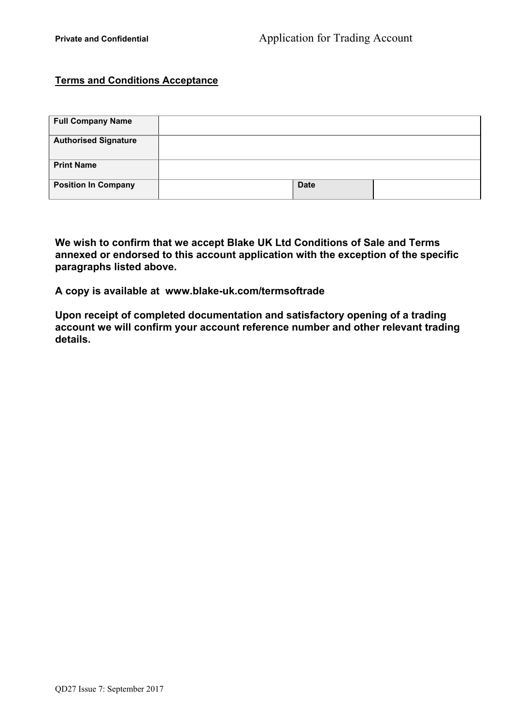# **Terms and Conditions Acceptance**

| <b>Full Company Name</b>    |             |  |
|-----------------------------|-------------|--|
| <b>Authorised Signature</b> |             |  |
| <b>Print Name</b>           |             |  |
| <b>Position In Company</b>  | <b>Date</b> |  |

**We wish to confirm that we accept Blake UK Ltd Conditions of Sale and Terms annexed or endorsed to this account application with the exception of the specific paragraphs listed above.** 

**A copy is available at www.blake-uk.com/termsoftrade** 

**Upon receipt of completed documentation and satisfactory opening of a trading account we will confirm your account reference number and other relevant trading details.**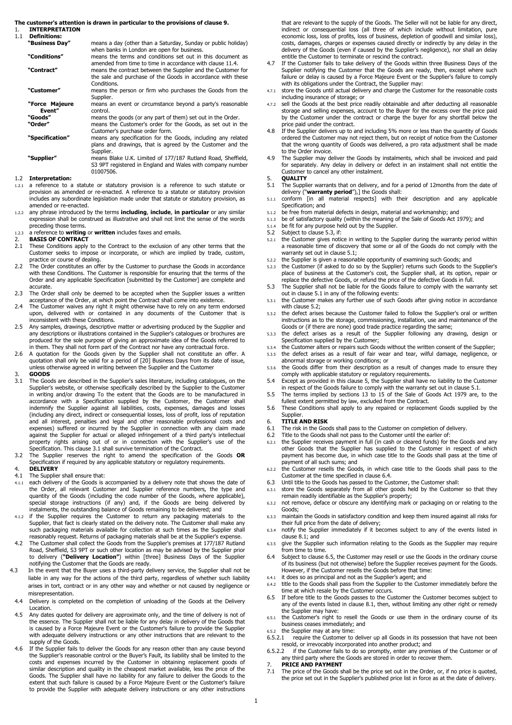#### **The customer's attention is drawn in particular to the provisions of clause 9.**

1. **INTERPRETATION** 

1.1 **Definitions:** 

| "Business Day"           | means a day (other than a Saturday, Sunday or public holiday)<br>when banks in London are open for business.                               |       |
|--------------------------|--------------------------------------------------------------------------------------------------------------------------------------------|-------|
| "Conditions"             | means the terms and conditions set out in this document as<br>amended from time to time in accordance with clause 11.4.                    | 4.7   |
| "Contract"               | means the contract between the Supplier and the Customer for<br>the sale and purchase of the Goods in accordance with these<br>Conditions. |       |
| "Customer"               | means the person or firm who purchases the Goods from the<br>Supplier.                                                                     | 4.7.1 |
| "Force Majeure<br>Event" | means an event or circumstance beyond a party's reasonable<br>control.                                                                     | 4.7.2 |
| "Goods"                  | means the goods (or any part of them) set out in the Order.                                                                                |       |
| "Order"                  | means the Customer's order for the Goods, as set out in the                                                                                |       |
|                          | Customer's purchase order form.                                                                                                            | 4.8   |
| "Specification"          | means any specification for the Goods, including any related<br>plans and drawings, that is agreed by the Customer and the<br>Supplier.    |       |
| "Supplier"               | means Blake U.K. Limited of 177/187 Rutland Road, Sheffield,<br>S3 9PT registered in England and Wales with company number<br>01007506.    | 4.9   |
| <b>Tatornrotation:</b>   |                                                                                                                                            | с     |

#### 1.2 **Interpretation:**

- 1.2.1 a reference to a statute or statutory provision is a reference to such statute or provision as amended or re-enacted. A reference to a statute or statutory provision includes any subordinate legislation made under that statute or statutory provision, as amended or re-enacted.
- 1.2.2 any phrase introduced by the terms **including**, **include**, **in particular** or any similar expression shall be construed as illustrative and shall not limit the sense of the words preceding those terms.
- 1.2.3 a reference to **writing** or **written** includes faxes and emails.
- 2. **BASIS OF CONTRACT**<br>2.1 These Conditions apply
- These Conditions apply to the Contract to the exclusion of any other terms that the Customer seeks to impose or incorporate, or which are implied by trade, custom, practice or course of dealing.
- 2.2 The Order constitutes an offer by the Customer to purchase the Goods in accordance with these Conditions. The Customer is responsible for ensuring that the terms of the Order and any applicable Specification [submitted by the Customer] are complete and accurate.
- 2.3 The Order shall only be deemed to be accepted when the Supplier issues a written acceptance of the Order, at which point the Contract shall come into existence.
- 2.4 The Customer waives any right it might otherwise have to rely on any term endorsed upon, delivered with or contained in any documents of the Customer that is inconsistent with these Conditions.
- 2.5 Any samples, drawings, descriptive matter or advertising produced by the Supplier and any descriptions or illustrations contained in the Supplier's catalogues or brochures are produced for the sole purpose of giving an approximate idea of the Goods referred to in them. They shall not form part of the Contract nor have any contractual force.
- 2.6 A quotation for the Goods given by the Supplier shall not constitute an offer. A quotation shall only be valid for a period of [20] Business Days from its date of issue, unless otherwise agreed in writing between the Supplier and the Customer

#### 3. **GOODS**

- 3.1 The Goods are described in the Supplier's sales literature, including catalogues, on the Supplier's website, or otherwise specifically described by the Supplier to the Customer in writing and/or drawing To the extent that the Goods are to be manufactured in accordance with a Specification supplied by the Customer, the Customer shall indemnify the Supplier against all liabilities, costs, expenses, damages and losses (including any direct, indirect or consequential losses, loss of profit, loss of reputation and all interest, penalties and legal and other reasonable professional costs and expenses) suffered or incurred by the Supplier in connection with any claim made against the Supplier for actual or alleged infringement of a third party's intellectual property rights arising out of or in connection with the Supplier's use of the Specification. This clause 3.1 shall survive termination of the Contract.
- 3.2 The Supplier reserves the right to amend the specification of the Goods **OR** Specification if required by any applicable statutory or regulatory requirements.

# 4. **DELIVERY**<br>4.1 The Supplie

- The Supplier shall ensure that:
- 4.1.1 each delivery of the Goods is accompanied by a delivery note that shows the date of the Order, all relevant Customer and Supplier reference numbers, the type and quantity of the Goods (including the code number of the Goods, where applicable), special storage instructions (if any) and, if the Goods are being delivered by instalments, the outstanding balance of Goods remaining to be delivered; and
- 4.1.2 if the Supplier requires the Customer to return any packaging materials to the Supplier, that fact is clearly stated on the delivery note. The Customer shall make any such packaging materials available for collection at such times as the Supplier shall reasonably request. Returns of packaging materials shall be at the Supplier's expense.
- 4.2 The Customer shall collect the Goods from the Supplier's premises at 177/187 Rutland Road, Sheffield, S3 9PT or such other location as may be advised by the Supplier prior to delivery (**"Delivery Location"**) within [three] Business Days of the Supplier notifying the Customer that the Goods are ready.
- 4.3 In the event that the Buyer uses a third-party delivery service, the Supplier shall not be liable in any way for the actions of the third party, regardless of whether such liability arises in tort, contract or in any other way and whether or not caused by negligence or misrepresentation.
- 4.4 Delivery is completed on the completion of unloading of the Goods at the Delivery Location.
- 4.5 Any dates quoted for delivery are approximate only, and the time of delivery is not of the essence. The Supplier shall not be liable for any delay in delivery of the Goods that is caused by a Force Majeure Event or the Customer's failure to provide the Supplier with adequate delivery instructions or any other instructions that are relevant to the supply of the Goods.
- 4.6 If the Supplier fails to deliver the Goods for any reason other than any cause beyond the Supplier's reasonable control or the Buyer's Fault, its liability shall be limited to the costs and expenses incurred by the Customer in obtaining replacement goods of similar description and quality in the cheapest market available, less the price of the Goods. The Supplier shall have no liability for any failure to deliver the Goods to the extent that such failure is caused by a Force Majeure Event or the Customer's failure to provide the Supplier with adequate delivery instructions or any other instructions

that are relevant to the supply of the Goods. The Seller will not be liable for any direct, indirect or consequential loss (all three of which include without limitation, pure economic loss, loss of profits, loss of business, depletion of goodwill and similar loss), costs, damages, charges or expenses caused directly or indirectly by any delay in the delivery of the Goods (even if caused by the Supplier's negligence), nor shall an delay entitle the Customer to terminate or rescind the contract.

- If the Customer fails to take delivery of the Goods within three Business Days of the Supplier notifying the Customer that the Goods are ready, then, except where such failure or delay is caused by a Force Majeure Event or the Supplier's failure to comply with its obligations under the Contract, the Supplier may:
- store the Goods until actual delivery and charge the Customer for the reasonable costs including insurance of storage; or
- sell the Goods at the best price readily obtainable and after deducting all reasonable storage and selling expenses, account to the Buyer for the excess over the price paid by the Customer under the contract or charge the buyer for any shortfall below the
- price paid under the contract. 4.8 If the Supplier delivers up to and including 5% more or less than the quantity of Goods ordered the Customer may not reject them, but on receipt of notice from the Customer that the wrong quantity of Goods was delivered, a pro rata adjustment shall be made to the Order invoice.
- to the Stuch inverse.<br>The Supplier may deliver the Goods by instalments, which shall be invoiced and paid for separately. Any delay in delivery or defect in an instalment shall not entitle the Customer to cancel any other instalment.
- 5. **QUALITY**  5.1 The Supplier warrants that on delivery, and for a period of 12months from the date of delivery ("**warranty period**"),] the Goods shall:
- 5.1.1 conform [in all material respects] with their description and any applicable Specification; and
- be free from material defects in design, material and workmanship; and
- 5.1.3 be of satisfactory quality (within the meaning of the Sale of Goods Act 1979); and
- 5.1.4 be fit for any purpose held out by the Supplier. 5.2 Subject to clause 5.3, if:
- 
- 5.2.1 the Customer gives notice in writing to the Supplier during the warranty period within a reasonable time of discovery that some or all of the Goods do not comply with the warranty set out in clause 5.1;
- 5.2.2 the Supplier is given a reasonable opportunity of examining such Goods; and
- 5.2.3 the Customer (if asked to do so by the Supplier) returns such Goods to the Supplier's place of business at the Customer's cost, the Supplier shall, at its option, repair or replace the defective Goods, or refund the price of the defective Goods in full.
- 5.3 The Supplier shall not be liable for the Goods failure to comply with the warranty set out in clause 5.1 in any of the following events: 5.3.1 the Customer makes any further use of such Goods after giving notice in accordance
- with clause 5.2;
- the defect arises because the Customer failed to follow the Supplier's oral or written instructions as to the storage, commissioning, installation, use and maintenance of the Goods or (if there are none) good trade practice regarding the same;
- 5.3.3 the defect arises as a result of the Supplier following any drawing, design or Specification supplied by the Customer;
- 5.3.4 the Customer alters or repairs such Goods without the written consent of the Supplier;
- 5.3.5 the defect arises as a result of fair wear and tear, wilful damage, negligence, or abnormal storage or working conditions; or 5.3.6 the Goods differ from their description as a result of changes made to ensure they
- comply with applicable statutory or regulatory requirements. 5.4 Except as provided in this clause 5, the Supplier shall have no liability to the Customer
- in respect of the Goods failure to comply with the warranty set out in clause 5.1. 5.5 The terms implied by sections 13 to 15 of the Sale of Goods Act 1979 are, to the
- fullest extent permitted by law, excluded from the Contract.
- 5.6 These Conditions shall apply to any repaired or replacement Goods supplied by the Supplier.
- 6. **TITLE AND RISK**
- 6.1 The risk in the Goods shall pass to the Customer on completion of delivery.<br>6.2 Title to the Goods shall not pass to the Customer until the earlier of:
- Title to the Goods shall not pass to the Customer until the earlier of:
- 6.2.1 the Supplier receives payment in full (in cash or cleared funds) for the Goods and any other Goods that the Supplier has supplied to the Customer in respect of which payment has become due, in which case title to the Goods shall pass at the time of payment of all such sums; and
- 6.2.2 the Customer resells the Goods, in which case title to the Goods shall pass to the Customer at the time specified in clause 6.4.
- 6.3 Until title to the Goods has passed to the Customer, the Customer shall: 6.3.1 store the Goods separately from all other goods held by the Customer so that they remain readily identifiable as the Supplier's property;
- 6.3.2 not remove, deface or obscure any identifying mark or packaging on or relating to the Goods;
- 6.3.3 maintain the Goods in satisfactory condition and keep them insured against all risks for their full price from the date of delivery;
- 6.3.4 notify the Supplier immediately if it becomes subject to any of the events listed in clause 8.1; and
- 6.3.5 give the Supplier such information relating to the Goods as the Supplier may require from time to time.
- 6.4 Subject to clause 6.5, the Customer may resell or use the Goods in the ordinary course of its business (but not otherwise) before the Supplier receives payment for the Goods. However, if the Customer resells the Goods before that time:
- it does so as principal and not as the Supplier's agent; and
- 6.4.2 title to the Goods shall pass from the Supplier to the Customer immediately before the time at which resale by the Customer occurs.
- 6.5 If before title to the Goods passes to the Customer the Customer becomes subject to any of the events listed in clause 8.1, then, without limiting any other right or remedy the Supplier may have:
- 6.5.1 the Customer's right to resell the Goods or use them in the ordinary course of its business ceases immediately; and
- 6.5.2 the Supplier may at any time:<br>6.5.2.1 require the Customer to require the Customer to deliver up all Goods in its possession that have not been resold, or irrevocably incorporated into another product; and
- 6.5.2.2 if the Customer fails to do so promptly, enter any premises of the Customer or of any third party where the Goods are stored in order to recover them.
- 7. **PRICE AND PAYMENT**<br>7.1 The price of the Goods s
- The price of the Goods shall be the price set out in the Order, or, if no price is quoted, the price set out in the Supplier's published price list in force as at the date of delivery.